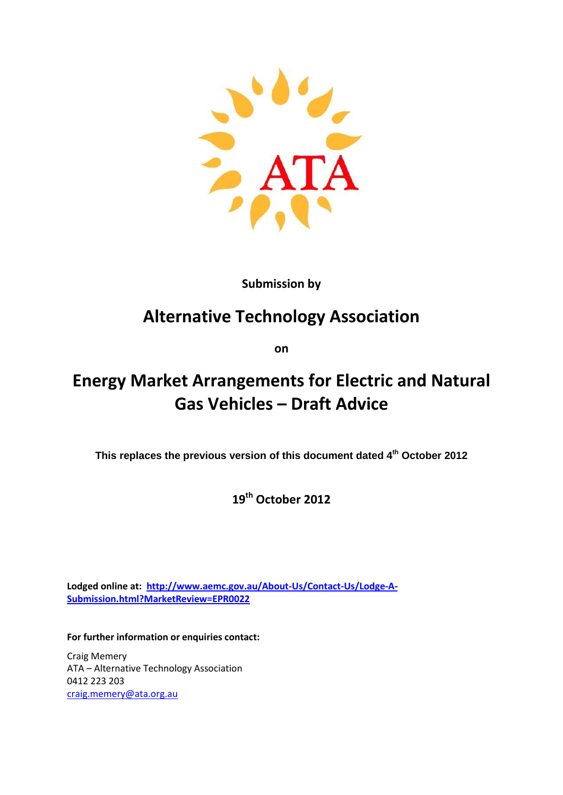

# **Submission by**

# **Alternative Technology Association**

**on**

# **Energy Market Arrangements for Electric and Natural Gas Vehicles – Draft Advice**

**This replaces the previous version of this document dated 4th October 2012**

**19th October 2012**

**Lodged online at: [http://www.aemc.gov.au/About-Us/Contact-Us/Lodge-A-](http://www.aemc.gov.au/About-Us/Contact-Us/Lodge-A-Submission.html?MarketReview=EPR0022)[Submission.html?MarketReview=EPR0022](http://www.aemc.gov.au/About-Us/Contact-Us/Lodge-A-Submission.html?MarketReview=EPR0022)**

**For further information or enquiries contact:**

Craig Memery ATA – Alternative Technology Association 0412 223 203 [craig.memery@ata.org.au](mailto:craig.memery@ata.org.au)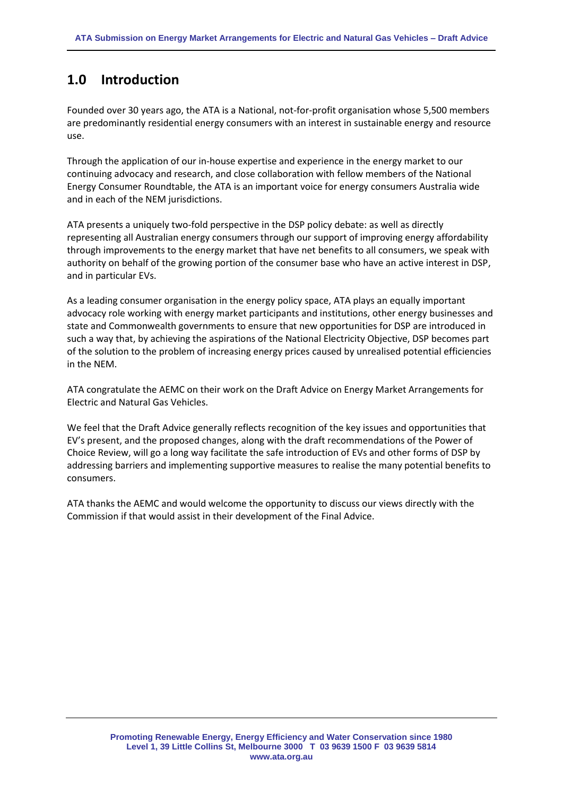# **1.0 Introduction**

Founded over 30 years ago, the ATA is a National, not-for-profit organisation whose 5,500 members are predominantly residential energy consumers with an interest in sustainable energy and resource use.

Through the application of our in-house expertise and experience in the energy market to our continuing advocacy and research, and close collaboration with fellow members of the National Energy Consumer Roundtable, the ATA is an important voice for energy consumers Australia wide and in each of the NEM jurisdictions.

ATA presents a uniquely two-fold perspective in the DSP policy debate: as well as directly representing all Australian energy consumers through our support of improving energy affordability through improvements to the energy market that have net benefits to all consumers, we speak with authority on behalf of the growing portion of the consumer base who have an active interest in DSP, and in particular EVs.

As a leading consumer organisation in the energy policy space, ATA plays an equally important advocacy role working with energy market participants and institutions, other energy businesses and state and Commonwealth governments to ensure that new opportunities for DSP are introduced in such a way that, by achieving the aspirations of the National Electricity Objective, DSP becomes part of the solution to the problem of increasing energy prices caused by unrealised potential efficiencies in the NEM.

ATA congratulate the AEMC on their work on the Draft Advice on Energy Market Arrangements for Electric and Natural Gas Vehicles.

We feel that the Draft Advice generally reflects recognition of the key issues and opportunities that EV's present, and the proposed changes, along with the draft recommendations of the Power of Choice Review, will go a long way facilitate the safe introduction of EVs and other forms of DSP by addressing barriers and implementing supportive measures to realise the many potential benefits to consumers.

ATA thanks the AEMC and would welcome the opportunity to discuss our views directly with the Commission if that would assist in their development of the Final Advice.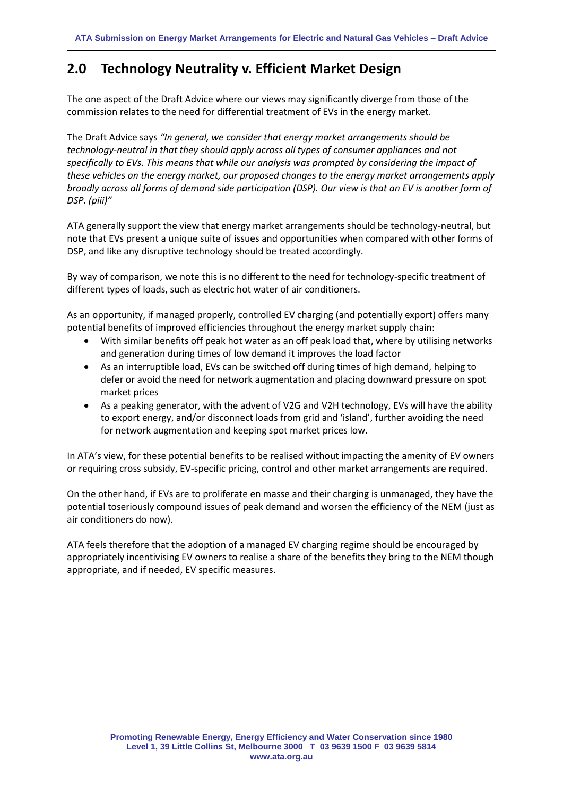# **2.0 Technology Neutrality v. Efficient Market Design**

The one aspect of the Draft Advice where our views may significantly diverge from those of the commission relates to the need for differential treatment of EVs in the energy market.

The Draft Advice says *"In general, we consider that energy market arrangements should be technology-neutral in that they should apply across all types of consumer appliances and not specifically to EVs. This means that while our analysis was prompted by considering the impact of these vehicles on the energy market, our proposed changes to the energy market arrangements apply broadly across all forms of demand side participation (DSP). Our view is that an EV is another form of DSP. (piii)"*

ATA generally support the view that energy market arrangements should be technology-neutral, but note that EVs present a unique suite of issues and opportunities when compared with other forms of DSP, and like any disruptive technology should be treated accordingly.

By way of comparison, we note this is no different to the need for technology-specific treatment of different types of loads, such as electric hot water of air conditioners.

As an opportunity, if managed properly, controlled EV charging (and potentially export) offers many potential benefits of improved efficiencies throughout the energy market supply chain:

- With similar benefits off peak hot water as an off peak load that, where by utilising networks  $\bullet$ and generation during times of low demand it improves the load factor
- As an interruptible load, EVs can be switched off during times of high demand, helping to defer or avoid the need for network augmentation and placing downward pressure on spot market prices
- As a peaking generator, with the advent of V2G and V2H technology, EVs will have the ability to export energy, and/or disconnect loads from grid and 'island', further avoiding the need for network augmentation and keeping spot market prices low.

In ATA's view, for these potential benefits to be realised without impacting the amenity of EV owners or requiring cross subsidy, EV-specific pricing, control and other market arrangements are required.

On the other hand, if EVs are to proliferate en masse and their charging is unmanaged, they have the potential toseriously compound issues of peak demand and worsen the efficiency of the NEM (just as air conditioners do now).

ATA feels therefore that the adoption of a managed EV charging regime should be encouraged by appropriately incentivising EV owners to realise a share of the benefits they bring to the NEM though appropriate, and if needed, EV specific measures.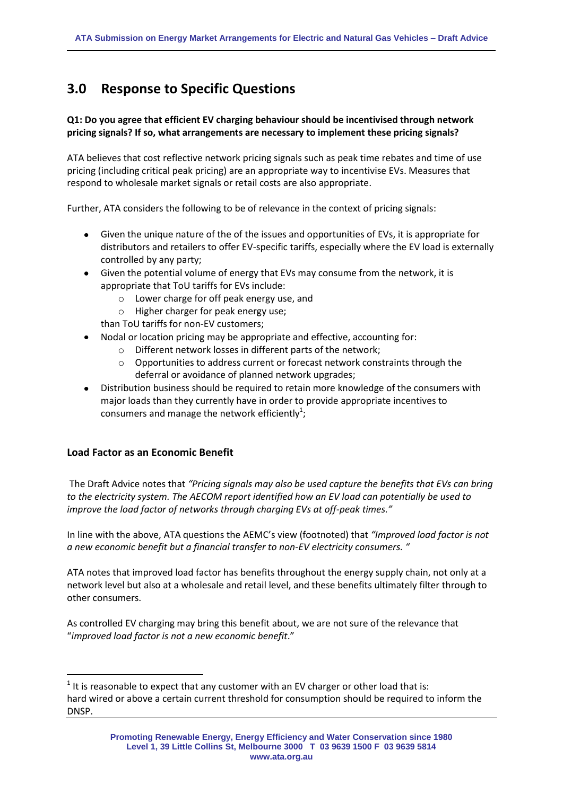# **3.0 Response to Specific Questions**

# **Q1: Do you agree that efficient EV charging behaviour should be incentivised through network pricing signals? If so, what arrangements are necessary to implement these pricing signals?**

ATA believes that cost reflective network pricing signals such as peak time rebates and time of use pricing (including critical peak pricing) are an appropriate way to incentivise EVs. Measures that respond to wholesale market signals or retail costs are also appropriate.

Further, ATA considers the following to be of relevance in the context of pricing signals:

- Given the unique nature of the of the issues and opportunities of EVs, it is appropriate for distributors and retailers to offer EV-specific tariffs, especially where the EV load is externally controlled by any party;
- Given the potential volume of energy that EVs may consume from the network, it is appropriate that ToU tariffs for EVs include:
	- o Lower charge for off peak energy use, and
	- o Higher charger for peak energy use;

than ToU tariffs for non-EV customers;

- Nodal or location pricing may be appropriate and effective, accounting for:
	- o Different network losses in different parts of the network;
	- $\circ$  Opportunities to address current or forecast network constraints through the deferral or avoidance of planned network upgrades;
- Distribution business should be required to retain more knowledge of the consumers with  $\bullet$ major loads than they currently have in order to provide appropriate incentives to consumers and manage the network efficiently<sup>1</sup>;

#### **Load Factor as an Economic Benefit**

 $\overline{\phantom{a}}$ 

The Draft Advice notes that *"Pricing signals may also be used capture the benefits that EVs can bring to the electricity system. The AECOM report identified how an EV load can potentially be used to improve the load factor of networks through charging EVs at off-peak times."*

In line with the above, ATA questions the AEMC's view (footnoted) that *"Improved load factor is not a new economic benefit but a financial transfer to non-EV electricity consumers. "*

ATA notes that improved load factor has benefits throughout the energy supply chain, not only at a network level but also at a wholesale and retail level, and these benefits ultimately filter through to other consumers.

As controlled EV charging may bring this benefit about, we are not sure of the relevance that "*improved load factor is not a new economic benefit*."

 $<sup>1</sup>$  It is reasonable to expect that any customer with an EV charger or other load that is:</sup> hard wired or above a certain current threshold for consumption should be required to inform the DNSP.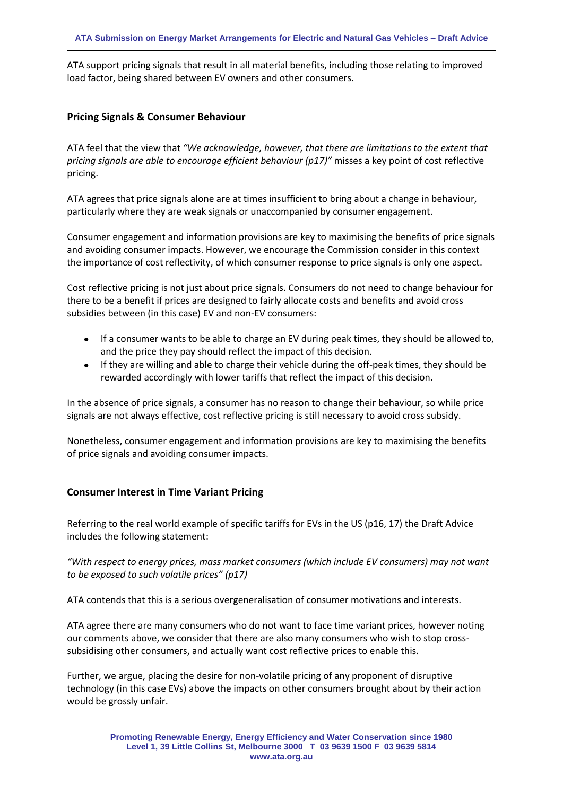ATA support pricing signals that result in all material benefits, including those relating to improved load factor, being shared between EV owners and other consumers.

#### **Pricing Signals & Consumer Behaviour**

ATA feel that the view that *"We acknowledge, however, that there are limitations to the extent that pricing signals are able to encourage efficient behaviour (p17)"* misses a key point of cost reflective pricing.

ATA agrees that price signals alone are at times insufficient to bring about a change in behaviour, particularly where they are weak signals or unaccompanied by consumer engagement.

Consumer engagement and information provisions are key to maximising the benefits of price signals and avoiding consumer impacts. However, we encourage the Commission consider in this context the importance of cost reflectivity, of which consumer response to price signals is only one aspect.

Cost reflective pricing is not just about price signals. Consumers do not need to change behaviour for there to be a benefit if prices are designed to fairly allocate costs and benefits and avoid cross subsidies between (in this case) EV and non-EV consumers:

- If a consumer wants to be able to charge an EV during peak times, they should be allowed to, and the price they pay should reflect the impact of this decision.
- If they are willing and able to charge their vehicle during the off-peak times, they should be rewarded accordingly with lower tariffs that reflect the impact of this decision.

In the absence of price signals, a consumer has no reason to change their behaviour, so while price signals are not always effective, cost reflective pricing is still necessary to avoid cross subsidy.

Nonetheless, consumer engagement and information provisions are key to maximising the benefits of price signals and avoiding consumer impacts.

#### **Consumer Interest in Time Variant Pricing**

Referring to the real world example of specific tariffs for EVs in the US (p16, 17) the Draft Advice includes the following statement:

*"With respect to energy prices, mass market consumers (which include EV consumers) may not want to be exposed to such volatile prices" (p17)*

ATA contends that this is a serious overgeneralisation of consumer motivations and interests.

ATA agree there are many consumers who do not want to face time variant prices, however noting our comments above, we consider that there are also many consumers who wish to stop crosssubsidising other consumers, and actually want cost reflective prices to enable this.

Further, we argue, placing the desire for non-volatile pricing of any proponent of disruptive technology (in this case EVs) above the impacts on other consumers brought about by their action would be grossly unfair.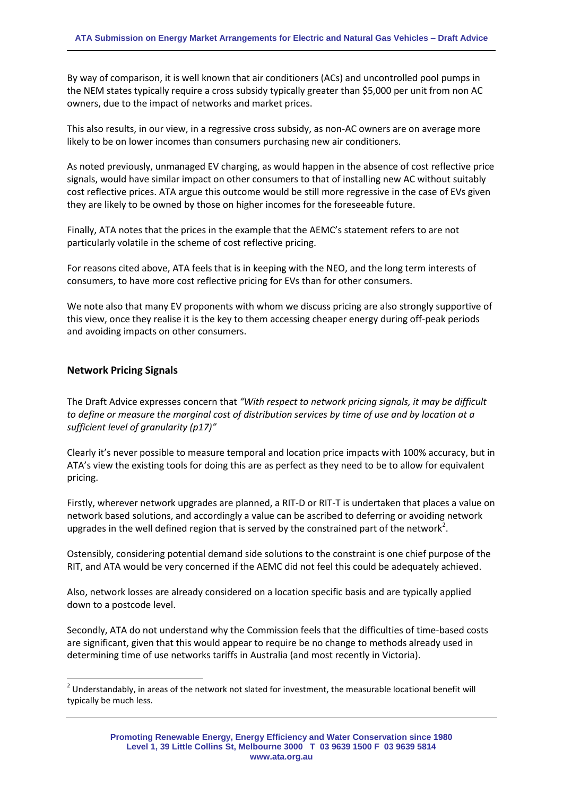By way of comparison, it is well known that air conditioners (ACs) and uncontrolled pool pumps in the NEM states typically require a cross subsidy typically greater than \$5,000 per unit from non AC owners, due to the impact of networks and market prices.

This also results, in our view, in a regressive cross subsidy, as non-AC owners are on average more likely to be on lower incomes than consumers purchasing new air conditioners.

As noted previously, unmanaged EV charging, as would happen in the absence of cost reflective price signals, would have similar impact on other consumers to that of installing new AC without suitably cost reflective prices. ATA argue this outcome would be still more regressive in the case of EVs given they are likely to be owned by those on higher incomes for the foreseeable future.

Finally, ATA notes that the prices in the example that the AEMC's statement refers to are not particularly volatile in the scheme of cost reflective pricing.

For reasons cited above, ATA feels that is in keeping with the NEO, and the long term interests of consumers, to have more cost reflective pricing for EVs than for other consumers.

We note also that many EV proponents with whom we discuss pricing are also strongly supportive of this view, once they realise it is the key to them accessing cheaper energy during off-peak periods and avoiding impacts on other consumers.

#### **Network Pricing Signals**

l

The Draft Advice expresses concern that *"With respect to network pricing signals, it may be difficult to define or measure the marginal cost of distribution services by time of use and by location at a sufficient level of granularity (p17)"*

Clearly it's never possible to measure temporal and location price impacts with 100% accuracy, but in ATA's view the existing tools for doing this are as perfect as they need to be to allow for equivalent pricing.

Firstly, wherever network upgrades are planned, a RIT-D or RIT-T is undertaken that places a value on network based solutions, and accordingly a value can be ascribed to deferring or avoiding network upgrades in the well defined region that is served by the constrained part of the network<sup>2</sup>.

Ostensibly, considering potential demand side solutions to the constraint is one chief purpose of the RIT, and ATA would be very concerned if the AEMC did not feel this could be adequately achieved.

Also, network losses are already considered on a location specific basis and are typically applied down to a postcode level.

Secondly, ATA do not understand why the Commission feels that the difficulties of time-based costs are significant, given that this would appear to require be no change to methods already used in determining time of use networks tariffs in Australia (and most recently in Victoria).

 $2$  Understandably, in areas of the network not slated for investment, the measurable locational benefit will typically be much less.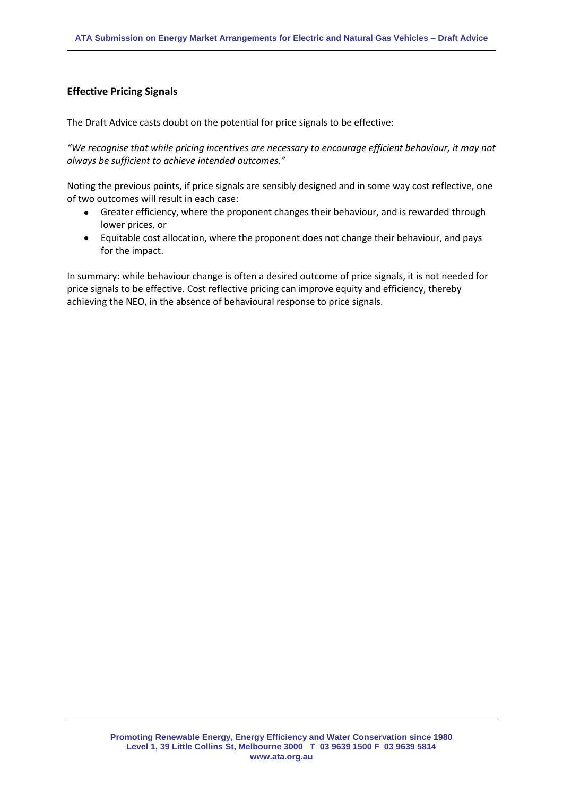### **Effective Pricing Signals**

The Draft Advice casts doubt on the potential for price signals to be effective:

*"We recognise that while pricing incentives are necessary to encourage efficient behaviour, it may not always be sufficient to achieve intended outcomes."*

Noting the previous points, if price signals are sensibly designed and in some way cost reflective, one of two outcomes will result in each case:

- Greater efficiency, where the proponent changes their behaviour, and is rewarded through  $\bullet$ lower prices, or
- Equitable cost allocation, where the proponent does not change their behaviour, and pays for the impact.

In summary: while behaviour change is often a desired outcome of price signals, it is not needed for price signals to be effective. Cost reflective pricing can improve equity and efficiency, thereby achieving the NEO, in the absence of behavioural response to price signals.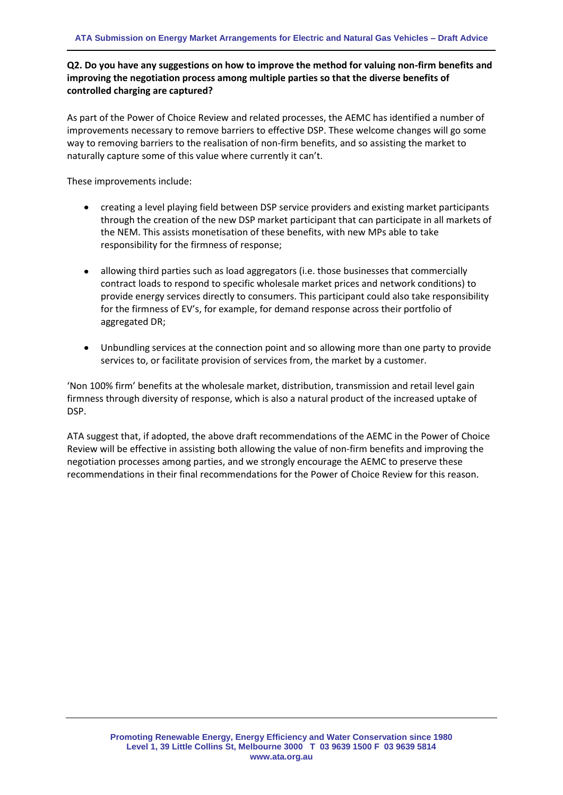# **Q2. Do you have any suggestions on how to improve the method for valuing non-firm benefits and improving the negotiation process among multiple parties so that the diverse benefits of controlled charging are captured?**

As part of the Power of Choice Review and related processes, the AEMC has identified a number of improvements necessary to remove barriers to effective DSP. These welcome changes will go some way to removing barriers to the realisation of non-firm benefits, and so assisting the market to naturally capture some of this value where currently it can't.

These improvements include:

- creating a level playing field between DSP service providers and existing market participants through the creation of the new DSP market participant that can participate in all markets of the NEM. This assists monetisation of these benefits, with new MPs able to take responsibility for the firmness of response;
- allowing third parties such as load aggregators (i.e. those businesses that commercially contract loads to respond to specific wholesale market prices and network conditions) to provide energy services directly to consumers. This participant could also take responsibility for the firmness of EV's, for example, for demand response across their portfolio of aggregated DR;
- Unbundling services at the connection point and so allowing more than one party to provide services to, or facilitate provision of services from, the market by a customer.

'Non 100% firm' benefits at the wholesale market, distribution, transmission and retail level gain firmness through diversity of response, which is also a natural product of the increased uptake of DSP.

ATA suggest that, if adopted, the above draft recommendations of the AEMC in the Power of Choice Review will be effective in assisting both allowing the value of non-firm benefits and improving the negotiation processes among parties, and we strongly encourage the AEMC to preserve these recommendations in their final recommendations for the Power of Choice Review for this reason.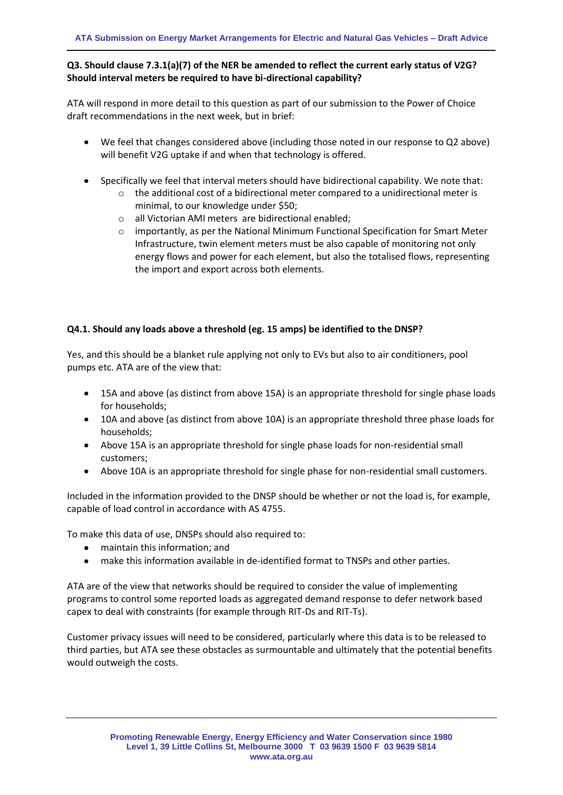# **Q3. Should clause 7.3.1(a)(7) of the NER be amended to reflect the current early status of V2G? Should interval meters be required to have bi-directional capability?**

ATA will respond in more detail to this question as part of our submission to the Power of Choice draft recommendations in the next week, but in brief:

- We feel that changes considered above (including those noted in our response to Q2 above) will benefit V2G uptake if and when that technology is offered.
- Specifically we feel that interval meters should have bidirectional capability. We note that:
	- $\circ$  the additional cost of a bidirectional meter compared to a unidirectional meter is minimal, to our knowledge under \$50;
	- o all Victorian AMI meters are bidirectional enabled;
	- $\circ$  importantly, as per the National Minimum Functional Specification for Smart Meter Infrastructure, twin element meters must be also capable of monitoring not only energy flows and power for each element, but also the totalised flows, representing the import and export across both elements.

#### **Q4.1. Should any loads above a threshold (eg. 15 amps) be identified to the DNSP?**

Yes, and this should be a blanket rule applying not only to EVs but also to air conditioners, pool pumps etc. ATA are of the view that:

- 15A and above (as distinct from above 15A) is an appropriate threshold for single phase loads for households;
- 10A and above (as distinct from above 10A) is an appropriate threshold three phase loads for households;
- Above 15A is an appropriate threshold for single phase loads for non-residential small customers;
- Above 10A is an appropriate threshold for single phase for non-residential small customers.

Included in the information provided to the DNSP should be whether or not the load is, for example, capable of load control in accordance with AS 4755.

To make this data of use, DNSPs should also required to:

- maintain this information; and
- make this information available in de-identified format to TNSPs and other parties.

ATA are of the view that networks should be required to consider the value of implementing programs to control some reported loads as aggregated demand response to defer network based capex to deal with constraints (for example through RIT-Ds and RIT-Ts).

Customer privacy issues will need to be considered, particularly where this data is to be released to third parties, but ATA see these obstacles as surmountable and ultimately that the potential benefits would outweigh the costs.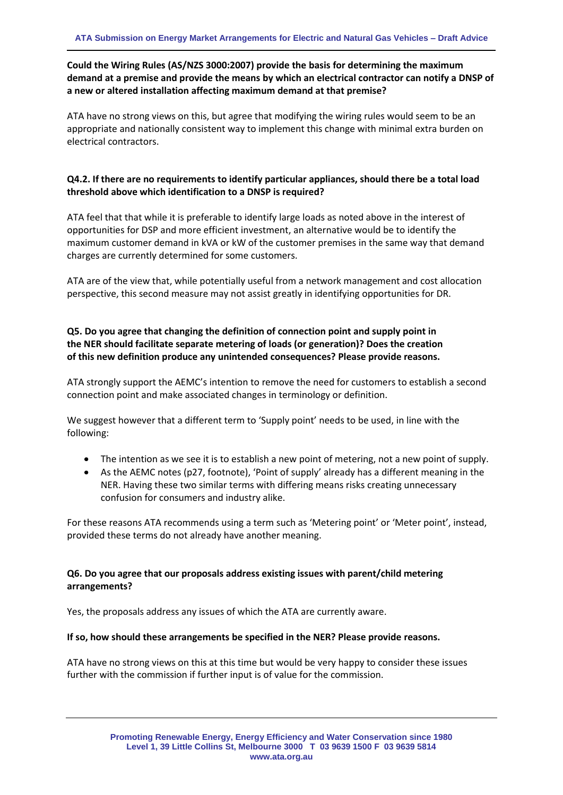# **Could the Wiring Rules (AS/NZS 3000:2007) provide the basis for determining the maximum demand at a premise and provide the means by which an electrical contractor can notify a DNSP of a new or altered installation affecting maximum demand at that premise?**

ATA have no strong views on this, but agree that modifying the wiring rules would seem to be an appropriate and nationally consistent way to implement this change with minimal extra burden on electrical contractors.

#### **Q4.2. If there are no requirements to identify particular appliances, should there be a total load threshold above which identification to a DNSP is required?**

ATA feel that that while it is preferable to identify large loads as noted above in the interest of opportunities for DSP and more efficient investment, an alternative would be to identify the maximum customer demand in kVA or kW of the customer premises in the same way that demand charges are currently determined for some customers.

ATA are of the view that, while potentially useful from a network management and cost allocation perspective, this second measure may not assist greatly in identifying opportunities for DR.

## **Q5. Do you agree that changing the definition of connection point and supply point in the NER should facilitate separate metering of loads (or generation)? Does the creation of this new definition produce any unintended consequences? Please provide reasons.**

ATA strongly support the AEMC's intention to remove the need for customers to establish a second connection point and make associated changes in terminology or definition.

We suggest however that a different term to 'Supply point' needs to be used, in line with the following:

- The intention as we see it is to establish a new point of metering, not a new point of supply.
- As the AEMC notes (p27, footnote), 'Point of supply' already has a different meaning in the NER. Having these two similar terms with differing means risks creating unnecessary confusion for consumers and industry alike.

For these reasons ATA recommends using a term such as 'Metering point' or 'Meter point', instead, provided these terms do not already have another meaning.

#### **Q6. Do you agree that our proposals address existing issues with parent/child metering arrangements?**

Yes, the proposals address any issues of which the ATA are currently aware.

#### **If so, how should these arrangements be specified in the NER? Please provide reasons.**

ATA have no strong views on this at this time but would be very happy to consider these issues further with the commission if further input is of value for the commission.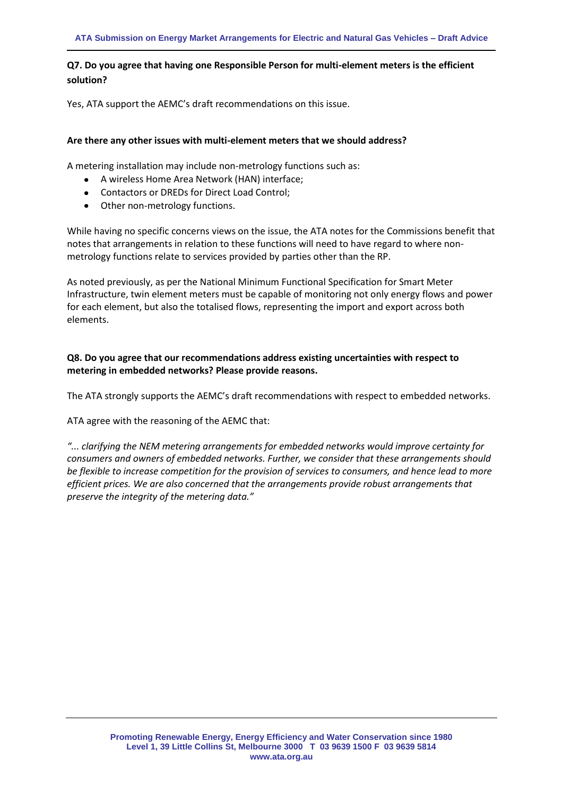# **Q7. Do you agree that having one Responsible Person for multi-element meters is the efficient solution?**

Yes, ATA support the AEMC's draft recommendations on this issue.

#### **Are there any other issues with multi-element meters that we should address?**

A metering installation may include non-metrology functions such as:

- A wireless Home Area Network (HAN) interface;
- Contactors or DREDs for Direct Load Control:
- Other non-metrology functions.

While having no specific concerns views on the issue, the ATA notes for the Commissions benefit that notes that arrangements in relation to these functions will need to have regard to where nonmetrology functions relate to services provided by parties other than the RP.

As noted previously, as per the National Minimum Functional Specification for Smart Meter Infrastructure, twin element meters must be capable of monitoring not only energy flows and power for each element, but also the totalised flows, representing the import and export across both elements.

#### **Q8. Do you agree that our recommendations address existing uncertainties with respect to metering in embedded networks? Please provide reasons.**

The ATA strongly supports the AEMC's draft recommendations with respect to embedded networks.

ATA agree with the reasoning of the AEMC that:

*"... clarifying the NEM metering arrangements for embedded networks would improve certainty for consumers and owners of embedded networks. Further, we consider that these arrangements should be flexible to increase competition for the provision of services to consumers, and hence lead to more efficient prices. We are also concerned that the arrangements provide robust arrangements that preserve the integrity of the metering data."*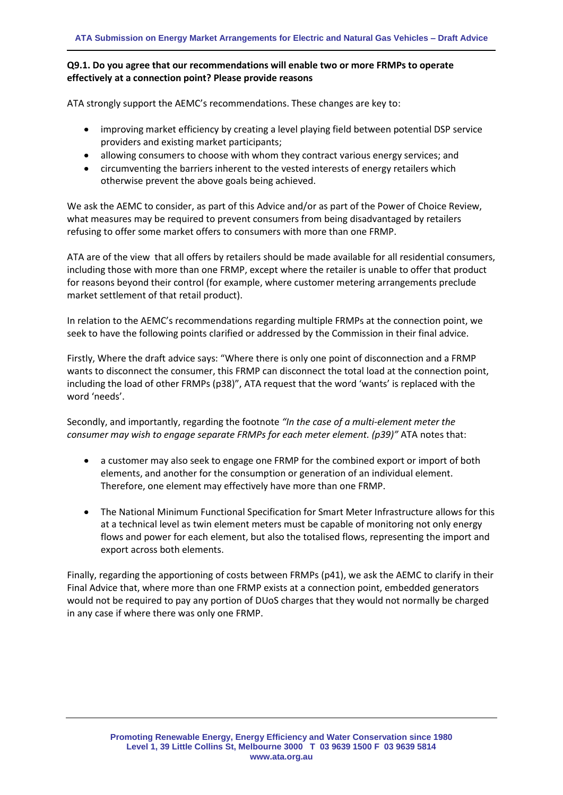#### **Q9.1. Do you agree that our recommendations will enable two or more FRMPs to operate effectively at a connection point? Please provide reasons**

ATA strongly support the AEMC's recommendations. These changes are key to:

- improving market efficiency by creating a level playing field between potential DSP service providers and existing market participants;
- allowing consumers to choose with whom they contract various energy services; and
- circumventing the barriers inherent to the vested interests of energy retailers which otherwise prevent the above goals being achieved.

We ask the AEMC to consider, as part of this Advice and/or as part of the Power of Choice Review, what measures may be required to prevent consumers from being disadvantaged by retailers refusing to offer some market offers to consumers with more than one FRMP.

ATA are of the view that all offers by retailers should be made available for all residential consumers, including those with more than one FRMP, except where the retailer is unable to offer that product for reasons beyond their control (for example, where customer metering arrangements preclude market settlement of that retail product).

In relation to the AEMC's recommendations regarding multiple FRMPs at the connection point, we seek to have the following points clarified or addressed by the Commission in their final advice.

Firstly, Where the draft advice says: "Where there is only one point of disconnection and a FRMP wants to disconnect the consumer, this FRMP can disconnect the total load at the connection point, including the load of other FRMPs (p38)", ATA request that the word 'wants' is replaced with the word 'needs'.

Secondly, and importantly, regarding the footnote *"In the case of a multi-element meter the consumer may wish to engage separate FRMPs for each meter element. (p39)"* ATA notes that:

- a customer may also seek to engage one FRMP for the combined export or import of both elements, and another for the consumption or generation of an individual element. Therefore, one element may effectively have more than one FRMP.
- The National Minimum Functional Specification for Smart Meter Infrastructure allows for this at a technical level as twin element meters must be capable of monitoring not only energy flows and power for each element, but also the totalised flows, representing the import and export across both elements.

Finally, regarding the apportioning of costs between FRMPs (p41), we ask the AEMC to clarify in their Final Advice that, where more than one FRMP exists at a connection point, embedded generators would not be required to pay any portion of DUoS charges that they would not normally be charged in any case if where there was only one FRMP.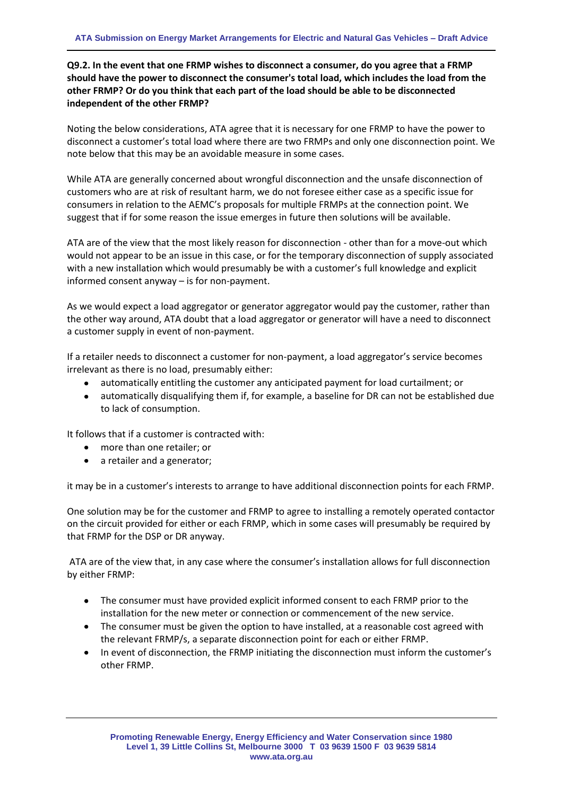### **Q9.2. In the event that one FRMP wishes to disconnect a consumer, do you agree that a FRMP should have the power to disconnect the consumer's total load, which includes the load from the other FRMP? Or do you think that each part of the load should be able to be disconnected independent of the other FRMP?**

Noting the below considerations, ATA agree that it is necessary for one FRMP to have the power to disconnect a customer's total load where there are two FRMPs and only one disconnection point. We note below that this may be an avoidable measure in some cases.

While ATA are generally concerned about wrongful disconnection and the unsafe disconnection of customers who are at risk of resultant harm, we do not foresee either case as a specific issue for consumers in relation to the AEMC's proposals for multiple FRMPs at the connection point. We suggest that if for some reason the issue emerges in future then solutions will be available.

ATA are of the view that the most likely reason for disconnection - other than for a move-out which would not appear to be an issue in this case, or for the temporary disconnection of supply associated with a new installation which would presumably be with a customer's full knowledge and explicit informed consent anyway – is for non-payment.

As we would expect a load aggregator or generator aggregator would pay the customer, rather than the other way around, ATA doubt that a load aggregator or generator will have a need to disconnect a customer supply in event of non-payment.

If a retailer needs to disconnect a customer for non-payment, a load aggregator's service becomes irrelevant as there is no load, presumably either:

- automatically entitling the customer any anticipated payment for load curtailment; or
- $\bullet$ automatically disqualifying them if, for example, a baseline for DR can not be established due to lack of consumption.

It follows that if a customer is contracted with:

- more than one retailer; or
- a retailer and a generator:

it may be in a customer's interests to arrange to have additional disconnection points for each FRMP.

One solution may be for the customer and FRMP to agree to installing a remotely operated contactor on the circuit provided for either or each FRMP, which in some cases will presumably be required by that FRMP for the DSP or DR anyway.

ATA are of the view that, in any case where the consumer's installation allows for full disconnection by either FRMP:

- The consumer must have provided explicit informed consent to each FRMP prior to the installation for the new meter or connection or commencement of the new service.
- The consumer must be given the option to have installed, at a reasonable cost agreed with the relevant FRMP/s, a separate disconnection point for each or either FRMP.
- $\bullet$ In event of disconnection, the FRMP initiating the disconnection must inform the customer's other FRMP.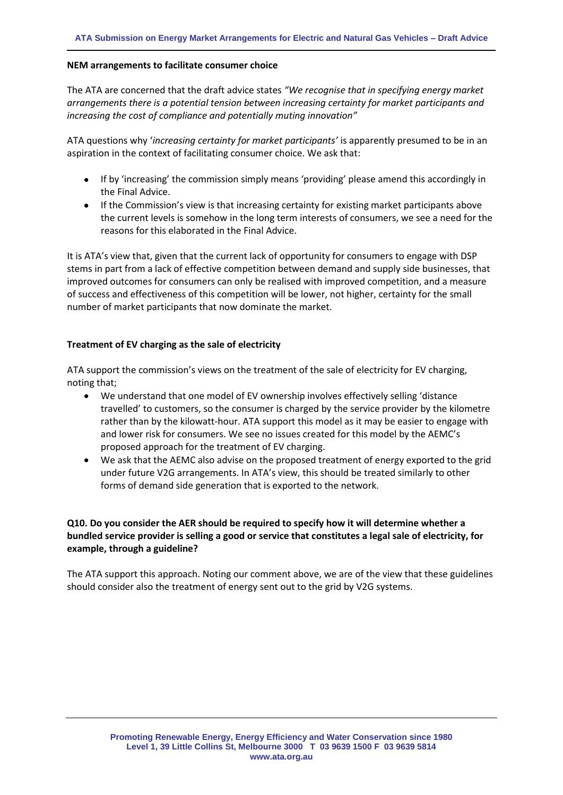#### **NEM arrangements to facilitate consumer choice**

The ATA are concerned that the draft advice states *"We recognise that in specifying energy market arrangements there is a potential tension between increasing certainty for market participants and increasing the cost of compliance and potentially muting innovation"*

ATA questions why '*increasing certainty for market participants'* is apparently presumed to be in an aspiration in the context of facilitating consumer choice. We ask that:

- If by 'increasing' the commission simply means 'providing' please amend this accordingly in the Final Advice.
- If the Commission's view is that increasing certainty for existing market participants above the current levels is somehow in the long term interests of consumers, we see a need for the reasons for this elaborated in the Final Advice.

It is ATA's view that, given that the current lack of opportunity for consumers to engage with DSP stems in part from a lack of effective competition between demand and supply side businesses, that improved outcomes for consumers can only be realised with improved competition, and a measure of success and effectiveness of this competition will be lower, not higher, certainty for the small number of market participants that now dominate the market.

#### **Treatment of EV charging as the sale of electricity**

ATA support the commission's views on the treatment of the sale of electricity for EV charging, noting that;

- $\bullet$ We understand that one model of EV ownership involves effectively selling 'distance travelled' to customers, so the consumer is charged by the service provider by the kilometre rather than by the kilowatt-hour. ATA support this model as it may be easier to engage with and lower risk for consumers. We see no issues created for this model by the AEMC's proposed approach for the treatment of EV charging.
- We ask that the AEMC also advise on the proposed treatment of energy exported to the grid under future V2G arrangements. In ATA's view, this should be treated similarly to other forms of demand side generation that is exported to the network.

### **Q10. Do you consider the AER should be required to specify how it will determine whether a bundled service provider is selling a good or service that constitutes a legal sale of electricity, for example, through a guideline?**

The ATA support this approach. Noting our comment above, we are of the view that these guidelines should consider also the treatment of energy sent out to the grid by V2G systems.